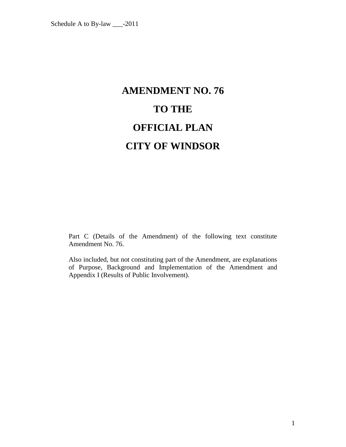# **AMENDMENT NO. 76 TO THE OFFICIAL PLAN CITY OF WINDSOR**

Part C (Details of the Amendment) of the following text constitute Amendment No. 76.

Also included, but not constituting part of the Amendment, are explanations of Purpose, Background and Implementation of the Amendment and Appendix I (Results of Public Involvement).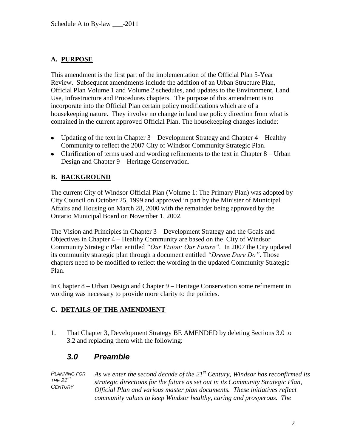#### **A. PURPOSE**

This amendment is the first part of the implementation of the Official Plan 5-Year Review. Subsequent amendments include the addition of an Urban Structure Plan, Official Plan Volume 1 and Volume 2 schedules, and updates to the Environment, Land Use, Infrastructure and Procedures chapters. The purpose of this amendment is to incorporate into the Official Plan certain policy modifications which are of a housekeeping nature. They involve no change in land use policy direction from what is contained in the current approved Official Plan. The housekeeping changes include:

- Updating of the text in Chapter  $3$  Development Strategy and Chapter  $4$  Healthy Community to reflect the 2007 City of Windsor Community Strategic Plan.
- Clarification of terms used and wording refinements to the text in Chapter  $8 -$ Urban Design and Chapter 9 – Heritage Conservation.

#### **B. BACKGROUND**

The current City of Windsor Official Plan (Volume 1: The Primary Plan) was adopted by City Council on October 25, 1999 and approved in part by the Minister of Municipal Affairs and Housing on March 28, 2000 with the remainder being approved by the Ontario Municipal Board on November 1, 2002.

The Vision and Principles in Chapter 3 – Development Strategy and the Goals and Objectives in Chapter 4 – Healthy Community are based on the City of Windsor Community Strategic Plan entitled *"Our Vision: Our Future"*. In 2007 the City updated its community strategic plan through a document entitled *"Dream Dare Do"*. Those chapters need to be modified to reflect the wording in the updated Community Strategic Plan.

In Chapter 8 – Urban Design and Chapter 9 – Heritage Conservation some refinement in wording was necessary to provide more clarity to the policies.

#### **C. DETAILS OF THE AMENDMENT**

1. That Chapter 3, Development Strategy BE AMENDED by deleting Sections 3.0 to 3.2 and replacing them with the following:

# *3.0 Preamble*

*PLANNING FOR*   $THE 21$ <sup>ST</sup> *CENTURY As we enter the second decade of the 21st Century, Windsor has reconfirmed its strategic directions for the future as set out in its Community Strategic Plan, Official Plan and various master plan documents. These initiatives reflect community values to keep Windsor healthy, caring and prosperous. The*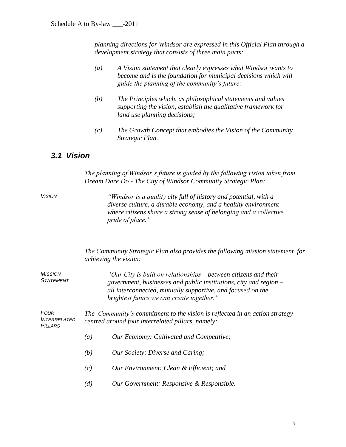*planning directions for Windsor are expressed in this Official Plan through a development strategy that consists of three main parts:*

- *(a) A Vision statement that clearly expresses what Windsor wants to become and is the foundation for municipal decisions which will guide the planning of the community's future;*
- *(b) The Principles which, as philosophical statements and values supporting the vision, establish the qualitative framework for land use planning decisions;*
- *(c) The Growth Concept that embodies the Vision of the Community Strategic Plan.*

## *3.1 Vision*

*The planning of Windsor's future is guided by the following vision taken from Dream Dare Do - The City of Windsor Community Strategic Plan:*

*VISION "Windsor is a quality city full of history and potential, with a diverse culture, a durable economy, and a healthy environment where citizens share a strong sense of belonging and a collective pride of place."*

> *The Community Strategic Plan also provides the following mission statement for achieving the vision:*

*MISSION STATEMENT "Our City is built on relationships – between citizens and their government, businesses and public institutions, city and region – all interconnected, mutually supportive, and focused on the brightest future we can create together."*

*FOUR INTERRELATED PILLARS The Community's commitment to the vision is reflected in an action strategy centred around four interrelated pillars, namely:* 

- *(a) Our Economy: Cultivated and Competitive;*
- *(b) Our Society: Diverse and Caring;*
- *(c) Our Environment: Clean & Efficient; and*
- *(d) Our Government: Responsive & Responsible.*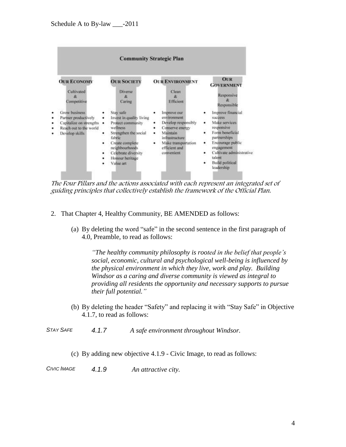|                  |                                                                                                              | <b>Community Strategic Plan</b>                                                                                                                                                                            |                                                                                                                                                           |                                                                                                                                                                                                                                            |  |  |  |
|------------------|--------------------------------------------------------------------------------------------------------------|------------------------------------------------------------------------------------------------------------------------------------------------------------------------------------------------------------|-----------------------------------------------------------------------------------------------------------------------------------------------------------|--------------------------------------------------------------------------------------------------------------------------------------------------------------------------------------------------------------------------------------------|--|--|--|
|                  | <b>OUR ECONOMY</b><br>Cultivated<br>$\infty$<br>Competitive                                                  | <b>OUR SOCIETY</b><br><b>Diverse</b><br>R.<br>Caring                                                                                                                                                       | <b>OUR ENVIRONMENT</b><br>Clean<br>$\mathcal{R}$<br><b>Efficient</b>                                                                                      | <b>OUR</b><br><b>GOVERNMENT</b><br>Responsive<br>æ<br>Responsible                                                                                                                                                                          |  |  |  |
| ٠<br>٠<br>۰<br>۰ | Grow-business<br>Partner productively<br>Capitalize on strengths<br>Reach out to the world<br>Develop skills | Stay safe<br>Invest in quality living<br>Protect community<br>٠<br>wellness<br>Strengthen the social<br>fabric<br>Create complete<br>neighbourhoods<br>Celebrate diversity<br>Honour heritage<br>Value art | Improve our<br>environment<br>Develop responsibly<br>Conserve energy<br>Maintain<br>infrastructure?<br>Make transportation<br>efficient and<br>convenient | Improve financial<br><b>SUCCESS</b><br>Make services.<br>٠<br>responsive<br>Form beneficial<br>partnerships<br>Encourage public<br>٠<br>engagement<br>Cultivate administrative<br>٠<br>talent<br><b>Build</b> political<br>٠<br>leadership |  |  |  |

The Four Pillars and the actions associated with each represent an integrated set of guiding principles that collectively establish the framework of the Official Plan.

- 2. That Chapter 4, Healthy Community, BE AMENDED as follows:
	- (a) By deleting the word "safe" in the second sentence in the first paragraph of 4.0, Preamble, to read as follows:

*"The healthy community philosophy is rooted in the belief that people's social, economic, cultural and psychological well-being is influenced by the physical environment in which they live, work and play. Building Windsor as a caring and diverse community is viewed as integral to providing all residents the opportunity and necessary supports to pursue their full potential."*

(b) By deleting the header "Safety" and replacing it with "Stay Safe" in Objective 4.1.7, to read as follows:

*STAY SAFE 4.1.7 A safe environment throughout Windsor.*

- (c) By adding new objective 4.1.9 Civic Image, to read as follows:
- *CIVIC IMAGE 4.1.9 An attractive city.*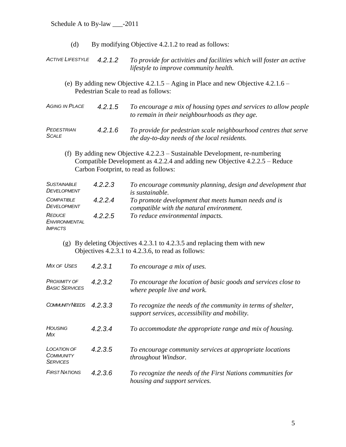- (d) By modifying Objective 4.2.1.2 to read as follows:
- *ACTIVE LIFESTYLE 4.2.1.2 To provide for activities and facilities which will foster an active lifestyle to improve community health.*
	- (e) By adding new Objective 4.2.1.5 Aging in Place and new Objective 4.2.1.6 Pedestrian Scale to read as follows:

| AGING IN PLACE | 4.2.1.5 | To encourage a mix of housing types and services to allow people |
|----------------|---------|------------------------------------------------------------------|
|                |         | to remain in their neighbourhoods as they age.                   |

*PEDESTRIAN SCALE*

*4.2.1.6 To provide for pedestrian scale neighbourhood centres that serve the day-to-day needs of the local residents.*

(f) By adding new Objective 4.2.2.3 – Sustainable Development, re-numbering Compatible Development as 4.2.2.4 and adding new Objective 4.2.2.5 – Reduce Carbon Footprint, to read as follows:

| <b>SUSTAINABLE</b><br><b>DEVELOPMENT</b>                | 4.2.2.3 | To encourage community planning, design and development that<br><i>is sustainable.</i>           |
|---------------------------------------------------------|---------|--------------------------------------------------------------------------------------------------|
| <b>COMPATIBLE</b><br><b>DEVELOPMENT</b>                 | 4.2.2.4 | To promote development that meets human needs and is<br>compatible with the natural environment. |
| <b>REDUCE</b><br><b>ENVIRONMENTAL</b><br><b>IMPACTS</b> | 4.2.2.5 | To reduce environmental impacts.                                                                 |

(g) By deleting Objectives 4.2.3.1 to 4.2.3.5 and replacing them with new Objectives 4.2.3.1 to 4.2.3.6, to read as follows:

| <b>MIX OF USES</b>                                 | 4.2.3.1 | To encourage a mix of uses.                                                                                   |  |  |
|----------------------------------------------------|---------|---------------------------------------------------------------------------------------------------------------|--|--|
| <b>PROXIMITY OF</b><br><b>BASIC SERVICES</b>       | 4.2.3.2 | To encourage the location of basic goods and services close to<br>where people live and work.                 |  |  |
| <b>COMMUNITY NEEDS</b>                             | 4.2.3.3 | To recognize the needs of the community in terms of shelter,<br>support services, accessibility and mobility. |  |  |
| <b>HOUSING</b><br>Mix                              | 4.2.3.4 | To accommodate the appropriate range and mix of housing.                                                      |  |  |
| LOCATION OF<br><b>COMMUNITY</b><br><b>SERVICES</b> | 4.2.3.5 | To encourage community services at appropriate locations<br>throughout Windsor.                               |  |  |
| <b>FIRST NATIONS</b>                               | 4.2.3.6 | To recognize the needs of the First Nations communities for<br>housing and support services.                  |  |  |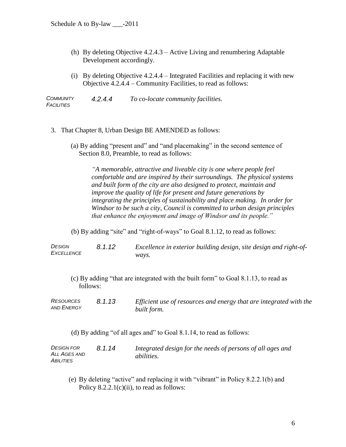- (h) By deleting Objective 4.2.4.3 Active Living and renumbering Adaptable Development accordingly.
- (i) By deleting Objective 4.2.4.4 Integrated Facilities and replacing it with new Objective 4.2.4.4 – Community Facilities, to read as follows:

*COMMUNITY FACILITIES 4.2.4.4 To co-locate community facilities.*

- 3. That Chapter 8, Urban Design BE AMENDED as follows:
	- (a) By adding "present and" and "and placemaking" in the second sentence of Section 8.0, Preamble, to read as follows:

*"A memorable, attractive and liveable city is one where people feel comfortable and are inspired by their surroundings. The physical systems and built form of the city are also designed to protect, maintain and improve the quality of life for present and future generations by integrating the principles of sustainability and place making. In order for Windsor to be such a city, Council is committed to urban design principles that enhance the enjoyment and image of Windsor and its people."*

(b) By adding "site" and "right-of-ways" to Goal 8.1.12, to read as follows:

*DESIGN EXCELLENCE 8.1.12 Excellence in exterior building design, site design and right-ofways.*

- (c) By adding "that are integrated with the built form" to Goal 8.1.13, to read as follows:
- *RESOURCES AND ENERGY 8.1.13 Efficient use of resources and energy that are integrated with the built form.*
	- (d) By adding "of all ages and" to Goal 8.1.14, to read as follows:

*DESIGN FOR ALL AGES AND ABILITIES 8.1.14 Integrated design for the needs of persons of all ages and abilities.*

(e) By deleting "active" and replacing it with "vibrant" in Policy 8.2.2.1(b) and Policy  $8.2.2.1(c)(ii)$ , to read as follows: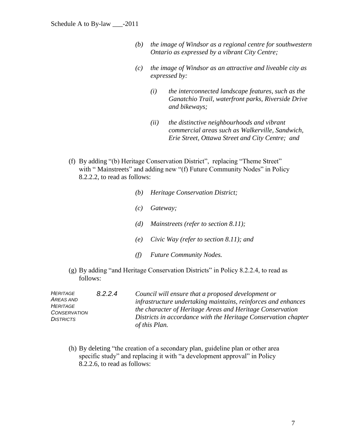- *(b) the image of Windsor as a regional centre for southwestern Ontario as expressed by a vibrant City Centre;*
- *(c) the image of Windsor as an attractive and liveable city as expressed by:*
	- *(i) the interconnected landscape features, such as the Ganatchio Trail, waterfront parks, Riverside Drive and bikeways;*
	- *(ii) the distinctive neighbourhoods and vibrant commercial areas such as Walkerville, Sandwich, Erie Street, Ottawa Street and City Centre; and*
- (f) By adding "(b) Heritage Conservation District", replacing "Theme Street" with "Mainstreets" and adding new "(f) Future Community Nodes" in Policy 8.2.2.2, to read as follows:
	- *(b) Heritage Conservation District;*
	- *(c) Gateway;*
	- *(d) Mainstreets (refer to section 8.11);*
	- *(e) Civic Way (refer to section 8.11); and*
	- *(f) Future Community Nodes.*
- (g) By adding "and Heritage Conservation Districts" in Policy 8.2.2.4, to read as follows:

| HERITAGE<br>AREAS AND<br>HERITAGE<br><b>CONSERVATION</b><br>DISTRICTS | 8.2.2.4 | Council will ensure that a proposed development or<br>infrastructure undertaking maintains, reinforces and enhances<br>the character of Heritage Areas and Heritage Conservation<br>Districts in accordance with the Heritage Conservation chapter<br>of this Plan. |
|-----------------------------------------------------------------------|---------|---------------------------------------------------------------------------------------------------------------------------------------------------------------------------------------------------------------------------------------------------------------------|
|-----------------------------------------------------------------------|---------|---------------------------------------------------------------------------------------------------------------------------------------------------------------------------------------------------------------------------------------------------------------------|

(h) By deleting "the creation of a secondary plan, guideline plan or other area specific study" and replacing it with "a development approval" in Policy 8.2.2.6, to read as follows: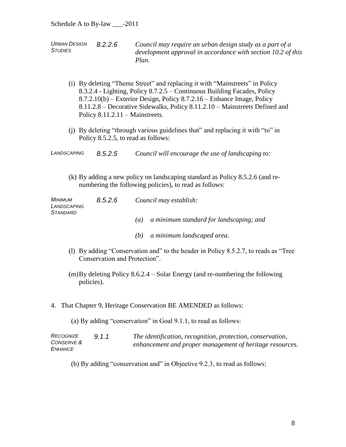*URBAN DESIGN STUDIES*

- *8.2.2.6 Council may require an urban design study as a part of a development approval in accordance with section 10.2 of this Plan.*
- (i) By deleting "Theme Street" and replacing it with "Mainstreets" in Policy 8.3.2.4 - Lighting, Policy 8.7.2.5 – Continuous Building Facades, Policy 8.7.2.10(b) – Exterior Design, Policy 8.7.2.16 – Enhance Image, Policy 8.11.2.8 – Decorative Sidewalks, Policy 8.11.2.10 – Mainstreets Defined and Policy 8.11.2.11 – Mainstreets.
- (j) By deleting "through various guidelines that" and replacing it with "to" in Policy 8.5.2.5, to read as follows:
- *LANDSCAPING 8.5.2.5 Council will encourage the use of landscaping to:*
	- (k) By adding a new policy on landscaping standard as Policy 8.5.2.6 (and renumbering the following policies), to read as follows:

| Minimum<br>LANDSCAPING<br><b>STANDARD</b> | 8.5.2.6 | Council may establish:                                       |  |
|-------------------------------------------|---------|--------------------------------------------------------------|--|
|                                           |         | a minimum standard for landscaping; and<br>$\left( a\right)$ |  |
|                                           |         | a minimum landscaped area.<br>(b)                            |  |

- (l) By adding "Conservation and" to the header in Policy 8.5.2.7, to reads as "Tree Conservation and Protection".
- (m)By deleting Policy 8.6.2.4 Solar Energy (and re-numbering the following policies).
- 4. That Chapter 9, Heritage Conservation BE AMENDED as follows:

(a) By adding "conservation" in Goal 9.1.1, to read as follows:

| RECOGNIZE  | 9.1.1 | The identification, recognition, protection, conservation, |
|------------|-------|------------------------------------------------------------|
| CONSERVE & |       | enhancement and proper management of heritage resources.   |
| ENHANCE    |       |                                                            |

(b) By adding "conservation and" in Objective 9.2.3, to read as follows: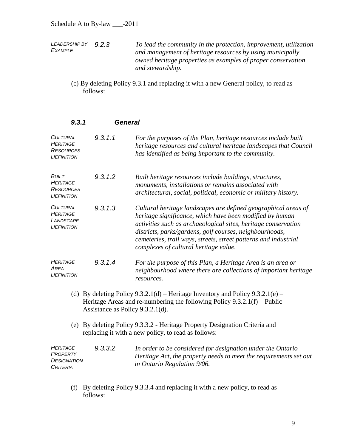*LEADERSHIP BY EXAMPLE 9.2.3 To lead the community in the protection, improvement, utilization and management of heritage resources by using municipally owned heritage properties as examples of proper conservation and stewardship.*

(c) By deleting Policy 9.3.1 and replacing it with a new General policy, to read as follows:

| 9,3,1                                                                       | <b>General</b>                   |                                                                                                                                                                                                                                                                                                                                                                     |
|-----------------------------------------------------------------------------|----------------------------------|---------------------------------------------------------------------------------------------------------------------------------------------------------------------------------------------------------------------------------------------------------------------------------------------------------------------------------------------------------------------|
| <b>CULTURAL</b><br>HERITAGE<br><b>RESOURCES</b><br><b>DEFINITION</b>        | 9.3.1.1                          | For the purposes of the Plan, heritage resources include built<br>heritage resources and cultural heritage landscapes that Council<br>has identified as being important to the community.                                                                                                                                                                           |
| <b>BUILT</b><br><b>HERITAGE</b><br><b>RESOURCES</b><br><b>DEFINITION</b>    | 9.3.1.2                          | Built heritage resources include buildings, structures,<br>monuments, installations or remains associated with<br>architectural, social, political, economic or military history.                                                                                                                                                                                   |
| <b>CULTURAL</b><br><b>HERITAGE</b><br>LANDSCAPE<br><b>DEFINITION</b>        | 9.3.1.3                          | Cultural heritage landscapes are defined geographical areas of<br>heritage significance, which have been modified by human<br>activities such as archaeological sites, heritage conservation<br>districts, parks/gardens, golf courses, neighbourhoods,<br>cemeteries, trail ways, streets, street patterns and industrial<br>complexes of cultural heritage value. |
| <b>HERITAGE</b><br>AREA<br><b>DEFINITION</b>                                | 9.3.1.4                          | For the purpose of this Plan, a Heritage Area is an area or<br>neighbourhood where there are collections of important heritage<br>resources.                                                                                                                                                                                                                        |
|                                                                             | Assistance as Policy 9.3.2.1(d). | (d) By deleting Policy 9.3.2.1(d) – Heritage Inventory and Policy 9.3.2.1(e) –<br>Heritage Areas and re-numbering the following Policy $9.3.2.1(f)$ – Public                                                                                                                                                                                                        |
|                                                                             |                                  | (e) By deleting Policy 9.3.3.2 - Heritage Property Designation Criteria and<br>replacing it with a new policy, to read as follows:                                                                                                                                                                                                                                  |
| <b>HERITAGE</b><br><b>PROPERTY</b><br><b>DESIGNATION</b><br><b>CRITERIA</b> | 9.3.3.2                          | In order to be considered for designation under the Ontario<br>Heritage Act, the property needs to meet the requirements set out<br>in Ontario Regulation 9/06.                                                                                                                                                                                                     |

(f) By deleting Policy 9.3.3.4 and replacing it with a new policy, to read as follows: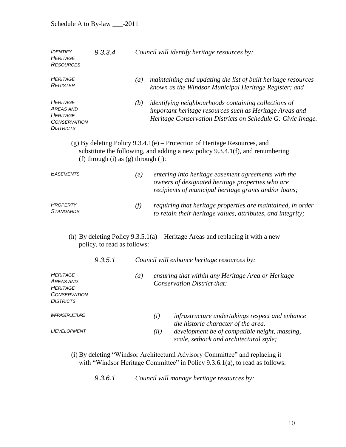| <b>IDENTIFY</b><br><b>HERITAGE</b><br><b>RESOURCES</b>                                            | 9.3.3.4                               |                  | Council will identify heritage resources by:                                                                                                                                          |  |  |
|---------------------------------------------------------------------------------------------------|---------------------------------------|------------------|---------------------------------------------------------------------------------------------------------------------------------------------------------------------------------------|--|--|
| <b>HERITAGE</b><br><b>REGISTER</b>                                                                |                                       | $\left(a\right)$ | maintaining and updating the list of built heritage resources<br>known as the Windsor Municipal Heritage Register; and                                                                |  |  |
| <b>HERITAGE</b><br><b>AREAS AND</b><br><b>HERITAGE</b><br><b>CONSERVATION</b><br><b>DISTRICTS</b> |                                       | (b)              | <i>identifying neighbourhoods containing collections of</i><br>important heritage resources such as Heritage Areas and<br>Heritage Conservation Districts on Schedule G: Civic Image. |  |  |
|                                                                                                   | (f) through (i) as $(g)$ through (j): |                  | $(g)$ By deleting Policy 9.3.4.1 $(e)$ – Protection of Heritage Resources, and<br>substitute the following, and adding a new policy 9.3.4.1(f), and renumbering                       |  |  |
| <b>EASEMENTS</b>                                                                                  |                                       | (e)              | entering into heritage easement agreements with the<br>owners of designated heritage properties who are<br>recipients of municipal heritage grants and/or loans;                      |  |  |
| PROPERTY<br><b>STANDARDS</b>                                                                      |                                       | (f)              | requiring that heritage properties are maintained, in order<br>to retain their heritage values, attributes, and integrity;                                                            |  |  |
|                                                                                                   | policy, to read as follows:           |                  | (h) By deleting Policy $9.3.5.1(a)$ – Heritage Areas and replacing it with a new                                                                                                      |  |  |
|                                                                                                   | 9.3.5.1                               |                  | Council will enhance heritage resources by:                                                                                                                                           |  |  |
| <b>HERITAGE</b><br><b>AREAS AND</b><br><b>HERITAGE</b><br><b>CONSERVATION</b><br><b>DISTRICTS</b> |                                       | $\left(a\right)$ | ensuring that within any Heritage Area or Heritage<br><b>Conservation District that:</b>                                                                                              |  |  |
| <b>INFRASTRUCTURE</b>                                                                             |                                       |                  | (i)<br>infrastructure undertakings respect and enhance<br>the historic character of the area.                                                                                         |  |  |
| <b>DEVELOPMENT</b>                                                                                |                                       |                  | development be of compatible height, massing,<br>(ii)<br>scale, setback and architectural style;                                                                                      |  |  |
|                                                                                                   |                                       |                  | (i) By deleting "Windsor Architectural Advisory Committee" and replacing it                                                                                                           |  |  |

with "Windsor Heritage Committee" in Policy 9.3.6.1(a), to read as follows:

*9.3.6.1 Council will manage heritage resources by:*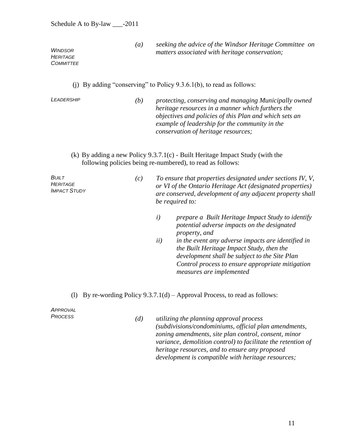*(a) seeking the advice of the Windsor Heritage Committee on matters associated with heritage conservation;*

*WINDSOR HERITAGE COMMITTEE*

(j) By adding "conserving" to Policy 9.3.6.1(b), to read as follows:

*LEADERSHIP (b) protecting, conserving and managing Municipally owned heritage resources in a manner which furthers the objectives and policies of this Plan and which sets an example of leadership for the community in the conservation of heritage resources;*

(k) By adding a new Policy 9.3.7.1(c) - Built Heritage Impact Study (with the following policies being re-numbered), to read as follows:

| Built<br>HERITAGE<br><b>IMPACT STUDY</b> | (C) | To ensure that properties designated under sections IV, V,<br>or VI of the Ontario Heritage Act (designated properties)<br>are conserved, development of any adjacent property shall<br>be required to: |                                                   |
|------------------------------------------|-----|---------------------------------------------------------------------------------------------------------------------------------------------------------------------------------------------------------|---------------------------------------------------|
|                                          |     |                                                                                                                                                                                                         | prepare a Built Heritage Impact Study to identify |

- *potential adverse impacts on the designated property, and*
- *ii) in the event any adverse impacts are identified in the Built Heritage Impact Study, then the development shall be subject to the Site Plan Control process to ensure appropriate mitigation measures are implemented*
- (l) By re-wording Policy  $9.3.7.1(d)$  Approval Process, to read as follows:

*APPROVAL* 

*<sup>P</sup>ROCESS (d) utilizing the planning approval process (subdivisions/condominiums, official plan amendments, zoning amendments, site plan control, consent, minor variance, demolition control) to facilitate the retention of heritage resources, and to ensure any proposed development is compatible with heritage resources;*